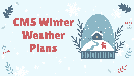## CMS Winter V Weather Plans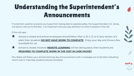#### Understanding the Superintendent's Announcements

If inclement weather prevents our buses from being able to operate safely, the Superintendent, Dr. Jones, will send a call out to families. It is important that you pay attention to what is stated in this call.

If the call says:



School is closed, however **REMOTE LEARNING** will be taking place, then students are **REQUIRED TO COMPLETE WORK IN THE JUST IN CASE PACKET**.

Mrs. Boles will follow up a remote learning day announcement with a message out to families indicating which Just in Case Day students should complete.



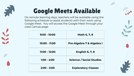

#### Google Meets Available

On remote learning days, teachers will be available using the following schedule to assist students with their work using Google Meet. You will access the Google Meet through your class Canvas page.

| $9:00 - 10:00$ | Math 6, 7, 8                    |
|----------------|---------------------------------|
| 10:00 - 11:00  | Pre-Algebra 7 & Algebra I       |
| 11:00 - 12:00  | <b>English 6, 7, 8</b>          |
| $1:00 - 2:00$  | <b>Science / Social Studies</b> |
| $2:00 - 3:00$  | <b>Exploratory Classes</b>      |

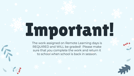# Important!

The work assigned on Remote Learning days is REQUIRED and WILL be graded! Please make sure that you complete the work and return it to school when school is back in session.